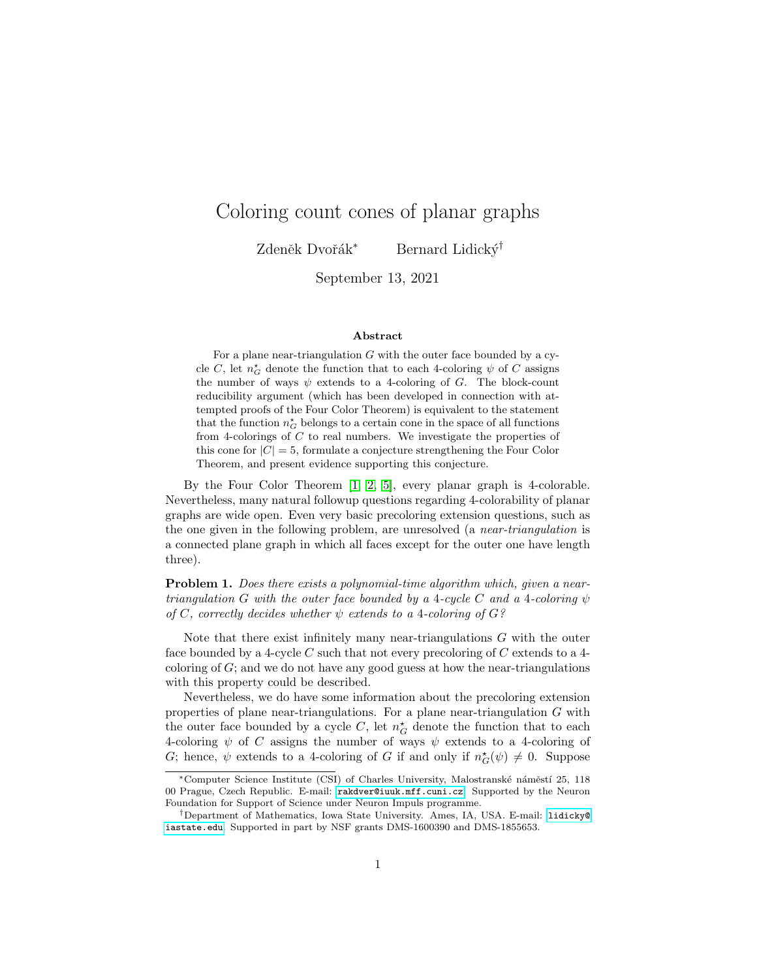# Coloring count cones of planar graphs

Zdeněk Dvořák<sup>∗</sup> Bernard Lidický<sup>†</sup>

September 13, 2021

#### Abstract

For a plane near-triangulation  $G$  with the outer face bounded by a cycle C, let  $n_G^{\star}$  denote the function that to each 4-coloring  $\psi$  of C assigns the number of ways  $\psi$  extends to a 4-coloring of G. The block-count reducibility argument (which has been developed in connection with attempted proofs of the Four Color Theorem) is equivalent to the statement that the function  $n_G^{\star}$  belongs to a certain cone in the space of all functions from 4-colorings of  $C$  to real numbers. We investigate the properties of this cone for  $|C| = 5$ , formulate a conjecture strengthening the Four Color Theorem, and present evidence supporting this conjecture.

By the Four Color Theorem [\[1,](#page-16-0) [2,](#page-16-1) [5\]](#page-17-0), every planar graph is 4-colorable. Nevertheless, many natural followup questions regarding 4-colorability of planar graphs are wide open. Even very basic precoloring extension questions, such as the one given in the following problem, are unresolved (a near-triangulation is a connected plane graph in which all faces except for the outer one have length three).

Problem 1. Does there exists a polynomial-time algorithm which, given a neartriangulation G with the outer face bounded by a 4-cycle C and a 4-coloring  $\psi$ of C, correctly decides whether  $\psi$  extends to a 4-coloring of  $G$ ?

Note that there exist infinitely many near-triangulations G with the outer face bounded by a 4-cycle  $C$  such that not every precoloring of  $C$  extends to a 4coloring of G; and we do not have any good guess at how the near-triangulations with this property could be described.

Nevertheless, we do have some information about the precoloring extension properties of plane near-triangulations. For a plane near-triangulation  $G$  with the outer face bounded by a cycle C, let  $n_G^{\star}$  denote the function that to each 4-coloring  $\psi$  of C assigns the number of ways  $\psi$  extends to a 4-coloring of G; hence,  $\psi$  extends to a 4-coloring of G if and only if  $n_G^{\star}(\psi) \neq 0$ . Suppose

<sup>\*</sup>Computer Science Institute (CSI) of Charles University, Malostranské náměstí 25, 118 00 Prague, Czech Republic. E-mail: [rakdver@iuuk.mff.cuni.cz](mailto:rakdver@iuuk.mff.cuni.cz). Supported by the Neuron Foundation for Support of Science under Neuron Impuls programme.

<sup>†</sup>Department of Mathematics, Iowa State University. Ames, IA, USA. E-mail: [lidicky@](mailto:lidicky@iasate.edu) [iastate.edu](mailto:lidicky@iasate.edu). Supported in part by NSF grants DMS-1600390 and DMS-1855653.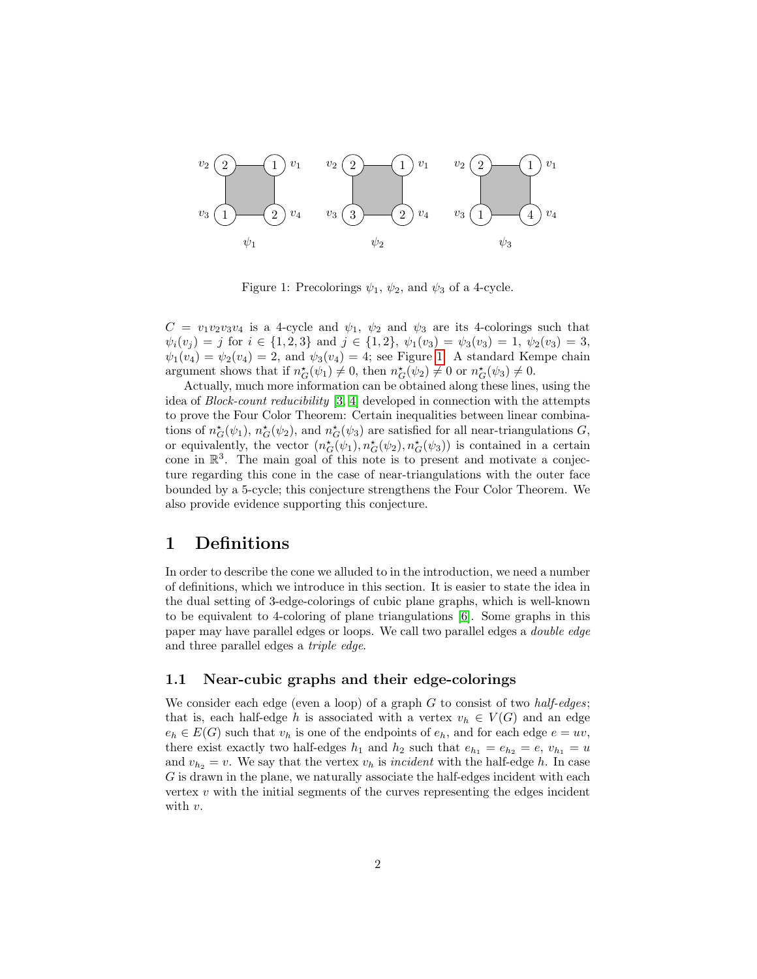

<span id="page-1-0"></span>Figure 1: Precolorings  $\psi_1$ ,  $\psi_2$ , and  $\psi_3$  of a 4-cycle.

 $C = v_1v_2v_3v_4$  is a 4-cycle and  $\psi_1$ ,  $\psi_2$  and  $\psi_3$  are its 4-colorings such that  $\psi_i(v_j) = j$  for  $i \in \{1, 2, 3\}$  and  $j \in \{1, 2\}, \psi_1(v_3) = \psi_3(v_3) = 1, \psi_2(v_3) = 3$ ,  $\psi_1(v_4) = \psi_2(v_4) = 2$ , and  $\psi_3(v_4) = 4$ ; see Figure [1.](#page-1-0) A standard Kempe chain argument shows that if  $n_G^{\star}(\psi_1) \neq 0$ , then  $n_G^{\star}(\psi_2) \neq 0$  or  $n_G^{\star}(\psi_3) \neq 0$ .

Actually, much more information can be obtained along these lines, using the idea of Block-count reducibility [\[3,](#page-16-2) [4\]](#page-17-1) developed in connection with the attempts to prove the Four Color Theorem: Certain inequalities between linear combinations of  $n_G^{\star}(\psi_1)$ ,  $n_G^{\star}(\psi_2)$ , and  $n_G^{\star}(\psi_3)$  are satisfied for all near-triangulations  $G$ , or equivalently, the vector  $(n_G^{\star}(\psi_1), n_G^{\star}(\psi_2), n_G^{\star}(\psi_3))$  is contained in a certain cone in  $\mathbb{R}^3$ . The main goal of this note is to present and motivate a conjecture regarding this cone in the case of near-triangulations with the outer face bounded by a 5-cycle; this conjecture strengthens the Four Color Theorem. We also provide evidence supporting this conjecture.

### 1 Definitions

In order to describe the cone we alluded to in the introduction, we need a number of definitions, which we introduce in this section. It is easier to state the idea in the dual setting of 3-edge-colorings of cubic plane graphs, which is well-known to be equivalent to 4-coloring of plane triangulations [\[6\]](#page-17-2). Some graphs in this paper may have parallel edges or loops. We call two parallel edges a double edge and three parallel edges a triple edge.

### 1.1 Near-cubic graphs and their edge-colorings

We consider each edge (even a loop) of a graph  $G$  to consist of two *half-edges*; that is, each half-edge h is associated with a vertex  $v_h \in V(G)$  and an edge  $e_h \in E(G)$  such that  $v_h$  is one of the endpoints of  $e_h$ , and for each edge  $e = uv$ , there exist exactly two half-edges  $h_1$  and  $h_2$  such that  $e_{h_1} = e_{h_2} = e$ ,  $v_{h_1} = u$ and  $v_{h_2} = v$ . We say that the vertex  $v_h$  is incident with the half-edge h. In case G is drawn in the plane, we naturally associate the half-edges incident with each vertex  $v$  with the initial segments of the curves representing the edges incident with  $v$ .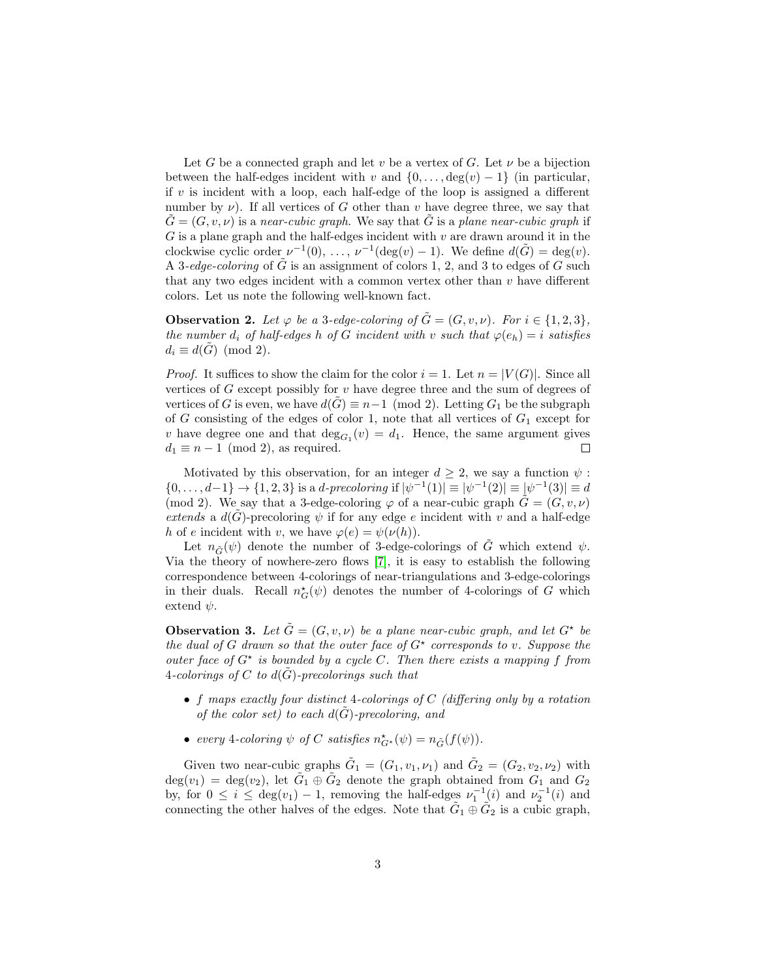Let G be a connected graph and let v be a vertex of G. Let  $\nu$  be a bijection between the half-edges incident with v and  $\{0, \ldots, \deg(v) - 1\}$  (in particular, if v is incident with a loop, each half-edge of the loop is assigned a different number by  $\nu$ ). If all vertices of G other than v have degree three, we say that  $G = (G, v, \nu)$  is a near-cubic graph. We say that G is a plane near-cubic graph if  $G$  is a plane graph and the half-edges incident with  $v$  are drawn around it in the clockwise cyclic order  $\nu^{-1}(0), \ldots, \nu^{-1}(\deg(v) - 1)$ . We define  $d(\tilde{G}) = \deg(v)$ . A 3-edge-coloring of  $\tilde{G}$  is an assignment of colors 1, 2, and 3 to edges of G such that any two edges incident with a common vertex other than  $v$  have different colors. Let us note the following well-known fact.

**Observation 2.** Let  $\varphi$  be a 3-edge-coloring of  $\tilde{G} = (G, v, \nu)$ . For  $i \in \{1, 2, 3\}$ , the number  $d_i$  of half-edges h of G incident with v such that  $\varphi(e_h) = i$  satisfies  $d_i \equiv d(G) \pmod{2}.$ 

*Proof.* It suffices to show the claim for the color  $i = 1$ . Let  $n = |V(G)|$ . Since all vertices of  $G$  except possibly for  $v$  have degree three and the sum of degrees of vertices of G is even, we have  $d(G) \equiv n-1 \pmod{2}$ . Letting  $G_1$  be the subgraph of G consisting of the edges of color 1, note that all vertices of  $G_1$  except for v have degree one and that  $\deg_{G_1}(v) = d_1$ . Hence, the same argument gives  $d_1 \equiv n - 1 \pmod{2}$ , as required.  $\Box$ 

Motivated by this observation, for an integer  $d > 2$ , we say a function  $\psi$ :  $\{0,\ldots,d-1\} \to \{1,2,3\}$  is a d-precoloring if  $|\psi^{-1}(1)| \equiv |\psi^{-1}(2)| \equiv |\psi^{-1}(3)| \equiv d$ (mod 2). We say that a 3-edge-coloring  $\varphi$  of a near-cubic graph  $\tilde{G} = (G, v, \nu)$ extends a  $d(\hat{G})$ -precoloring  $\psi$  if for any edge e incident with v and a half-edge h of e incident with v, we have  $\varphi(e) = \psi(\nu(h)).$ 

Let  $n_{\tilde{G}}(\psi)$  denote the number of 3-edge-colorings of  $\tilde{G}$  which extend  $\psi$ . Via the theory of nowhere-zero flows [\[7\]](#page-17-3), it is easy to establish the following correspondence between 4-colorings of near-triangulations and 3-edge-colorings in their duals. Recall  $n_G^{\star}(\psi)$  denotes the number of 4-colorings of G which extend  $\psi$ .

**Observation 3.** Let  $\tilde{G} = (G, v, \nu)$  be a plane near-cubic graph, and let  $G^*$  be the dual of G drawn so that the outer face of  $G^*$  corresponds to v. Suppose the outer face of  $G^*$  is bounded by a cycle C. Then there exists a mapping f from 4-colorings of C to  $d(\tilde{G})$ -precolorings such that

- f maps exactly four distinct 4-colorings of  $C$  (differing only by a rotation of the color set) to each  $d(G)$ -precoloring, and
- every 4-coloring  $\psi$  of C satisfies  $n_{G^*}^{\star}(\psi) = n_{\tilde{G}}(f(\psi)).$

Given two near-cubic graphs  $\tilde{G}_1 = (G_1, v_1, \nu_1)$  and  $\tilde{G}_2 = (G_2, v_2, \nu_2)$  with  $deg(v_1) = deg(v_2)$ , let  $\tilde{G}_1 \oplus \tilde{G}_2$  denote the graph obtained from  $G_1$  and  $G_2$ by, for  $0 \leq i \leq \deg(v_1) - 1$ , removing the half-edges  $\nu_1^{-1}(i)$  and  $\nu_2^{-1}(i)$  and connecting the other halves of the edges. Note that  $\tilde{G}_1 \oplus \tilde{G}_2$  is a cubic graph,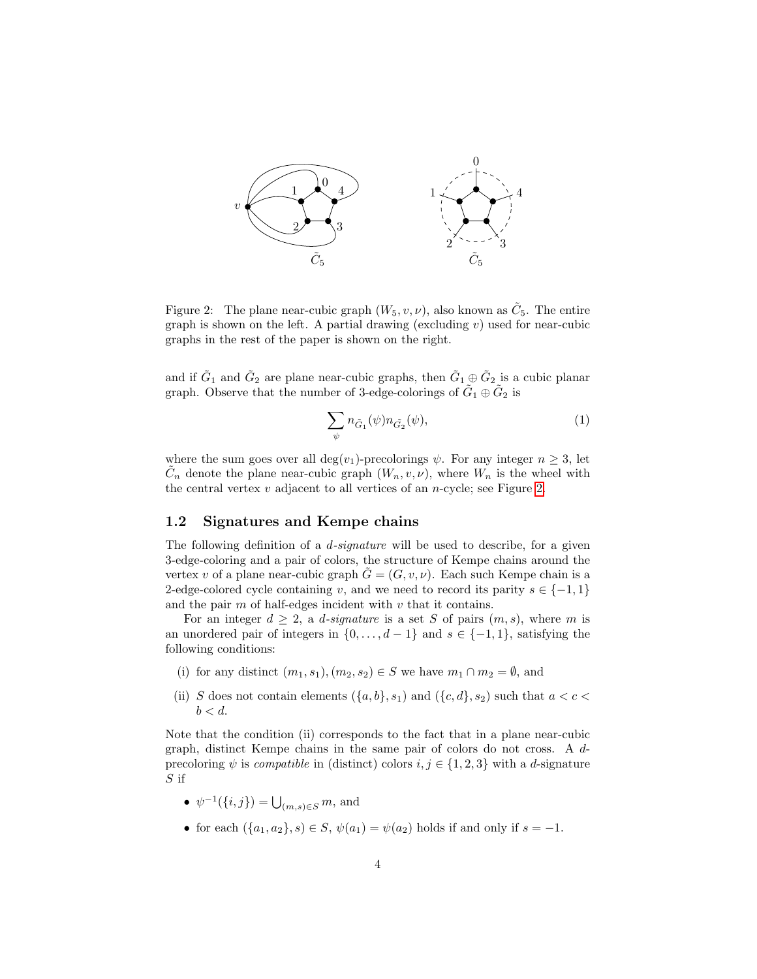

<span id="page-3-0"></span>Figure 2: The plane near-cubic graph  $(W_5, v, \nu)$ , also known as  $\tilde{C}_5$ . The entire graph is shown on the left. A partial drawing (excluding  $v$ ) used for near-cubic graphs in the rest of the paper is shown on the right.

and if  $\tilde{G}_1$  and  $\tilde{G}_2$  are plane near-cubic graphs, then  $\tilde{G}_1 \oplus \tilde{G}_2$  is a cubic planar graph. Observe that the number of 3-edge-colorings of  $\tilde{G}_1 \oplus \tilde{G}_2$  is

<span id="page-3-1"></span>
$$
\sum_{\psi} n_{\tilde{G}_1}(\psi) n_{\tilde{G}_2}(\psi),\tag{1}
$$

where the sum goes over all deg(v<sub>1</sub>)-precolorings  $\psi$ . For any integer  $n \geq 3$ , let  $\tilde{C}_n$  denote the plane near-cubic graph  $(W_n, v, \nu)$ , where  $W_n$  is the wheel with the central vertex  $v$  adjacent to all vertices of an  $n$ -cycle; see Figure [2.](#page-3-0)

#### 1.2 Signatures and Kempe chains

The following definition of a  $d$ -signature will be used to describe, for a given 3-edge-coloring and a pair of colors, the structure of Kempe chains around the vertex v of a plane near-cubic graph  $\tilde{G} = (G, v, \nu)$ . Each such Kempe chain is a 2-edge-colored cycle containing v, and we need to record its parity  $s \in \{-1, 1\}$ and the pair  $m$  of half-edges incident with  $v$  that it contains.

For an integer  $d \geq 2$ , a *d-signature* is a set S of pairs  $(m, s)$ , where m is an unordered pair of integers in  $\{0, \ldots, d-1\}$  and  $s \in \{-1, 1\}$ , satisfying the following conditions:

- (i) for any distinct  $(m_1, s_1), (m_2, s_2) \in S$  we have  $m_1 \cap m_2 = \emptyset$ , and
- (ii) S does not contain elements  $({a, b}, s_1)$  and  $({c, d}, s_2)$  such that  $a < c <$  $b < d$ .

Note that the condition (ii) corresponds to the fact that in a plane near-cubic graph, distinct Kempe chains in the same pair of colors do not cross. A dprecoloring  $\psi$  is *compatible* in (distinct) colors  $i, j \in \{1, 2, 3\}$  with a *d*-signature S if

- $\psi^{-1}(\{i,j\}) = \bigcup_{(m,s)\in S} m$ , and
- for each  $(\{a_1, a_2\}, s) \in S$ ,  $\psi(a_1) = \psi(a_2)$  holds if and only if  $s = -1$ .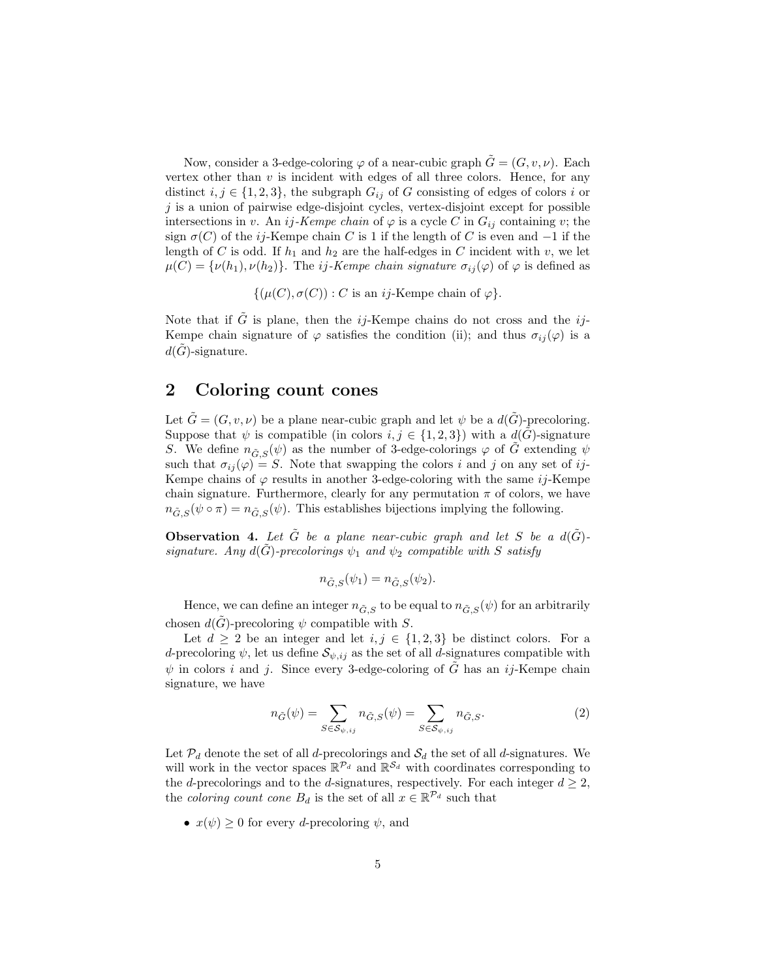Now, consider a 3-edge-coloring  $\varphi$  of a near-cubic graph  $\tilde{G} = (G, v, \nu)$ . Each vertex other than  $v$  is incident with edges of all three colors. Hence, for any distinct  $i, j \in \{1, 2, 3\}$ , the subgraph  $G_{ij}$  of G consisting of edges of colors i or  $j$  is a union of pairwise edge-disjoint cycles, vertex-disjoint except for possible intersections in v. An ij-Kempe chain of  $\varphi$  is a cycle C in  $G_{ij}$  containing v; the sign  $\sigma(C)$  of the ij-Kempe chain C is 1 if the length of C is even and  $-1$  if the length of C is odd. If  $h_1$  and  $h_2$  are the half-edges in C incident with v, we let  $\mu(C) = {\nu(h_1), \nu(h_2)}$ . The *ij-Kempe chain signature*  $\sigma_{ii}(\varphi)$  of  $\varphi$  is defined as

 $\{(\mu(C), \sigma(C)) : C \text{ is an } ij\text{-Kempe chain of } \varphi\}.$ 

Note that if  $\tilde{G}$  is plane, then the *ij*-Kempe chains do not cross and the *ij*-Kempe chain signature of  $\varphi$  satisfies the condition (ii); and thus  $\sigma_{ij}(\varphi)$  is a  $d(G)$ -signature.

### 2 Coloring count cones

Let  $\tilde{G} = (G, v, \nu)$  be a plane near-cubic graph and let  $\psi$  be a  $d(\tilde{G})$ -precoloring. Suppose that  $\psi$  is compatible (in colors  $i, j \in \{1, 2, 3\}$ ) with a  $d(\tilde{G})$ -signature S. We define  $n_{\tilde{G},S}(\psi)$  as the number of 3-edge-colorings  $\varphi$  of  $\tilde{G}$  extending  $\psi$ such that  $\sigma_{ij}(\varphi) = S$ . Note that swapping the colors i and j on any set of ij-Kempe chains of  $\varphi$  results in another 3-edge-coloring with the same *ij*-Kempe chain signature. Furthermore, clearly for any permutation  $\pi$  of colors, we have  $n_{\tilde{G},S}(\psi \circ \pi) = n_{\tilde{G},S}(\psi)$ . This establishes bijections implying the following.

**Observation 4.** Let  $\tilde{G}$  be a plane near-cubic graph and let S be a  $d(\tilde{G})$ signature. Any  $d(G)$ -precolorings  $\psi_1$  and  $\psi_2$  compatible with S satisfy

$$
n_{\tilde{G},S}(\psi_1) = n_{\tilde{G},S}(\psi_2).
$$

Hence, we can define an integer  $n_{\tilde{G},S}$  to be equal to  $n_{\tilde{G},S}(\psi)$  for an arbitrarily chosen  $d(G)$ -precoloring  $\psi$  compatible with S.

Let  $d \geq 2$  be an integer and let  $i, j \in \{1, 2, 3\}$  be distinct colors. For a d-precoloring  $\psi$ , let us define  $\mathcal{S}_{\psi,ij}$  as the set of all d-signatures compatible with  $\psi$  in colors i and j. Since every 3-edge-coloring of G has an ij-Kempe chain signature, we have

<span id="page-4-0"></span>
$$
n_{\tilde{G}}(\psi) = \sum_{S \in \mathcal{S}_{\psi,ij}} n_{\tilde{G},S}(\psi) = \sum_{S \in \mathcal{S}_{\psi,ij}} n_{\tilde{G},S}.
$$
 (2)

Let  $\mathcal{P}_d$  denote the set of all *d*-precolorings and  $\mathcal{S}_d$  the set of all *d*-signatures. We will work in the vector spaces  $\mathbb{R}^{\mathcal{P}_d}$  and  $\mathbb{R}^{\mathcal{S}_d}$  with coordinates corresponding to the d-precolorings and to the d-signatures, respectively. For each integer  $d \geq 2$ , the *coloring count cone*  $B_d$  is the set of all  $x \in \mathbb{R}^{\mathcal{P}_d}$  such that

•  $x(\psi) \geq 0$  for every *d*-precoloring  $\psi$ , and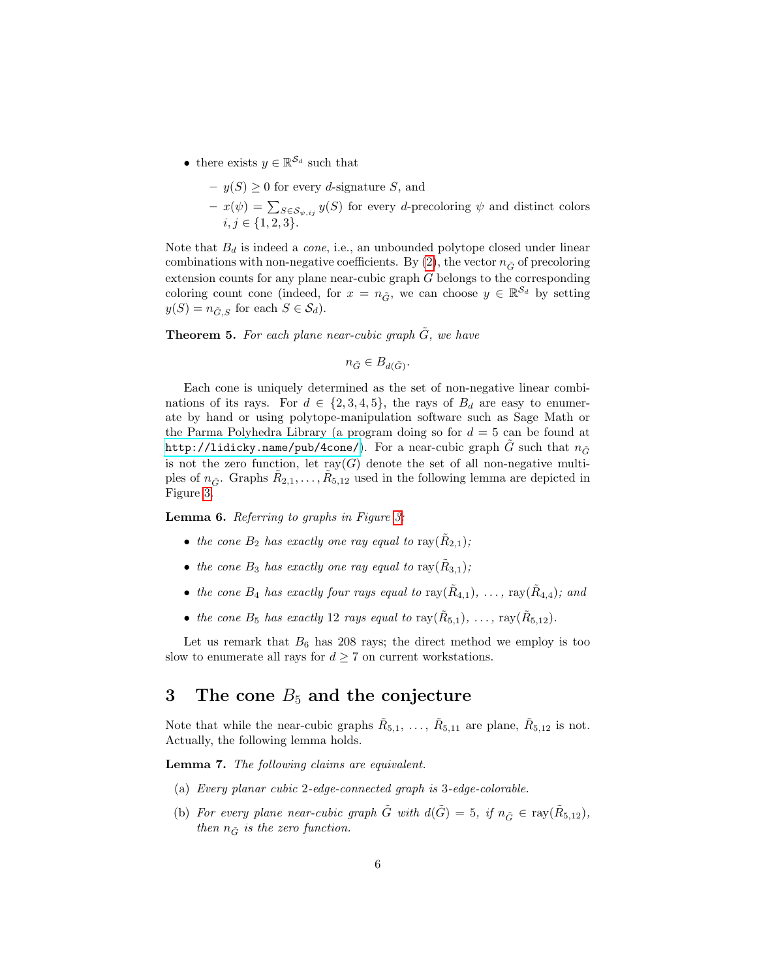- there exists  $y \in \mathbb{R}^{\mathcal{S}_d}$  such that
	- $-y(S) \geq 0$  for every d-signature S, and
	- $x(\psi) = \sum_{S \in \mathcal{S}_{\psi, ij}} y(S)$  for every d-precoloring  $\psi$  and distinct colors  $i, j \in \{1, 2, 3\}.$

Note that  $B_d$  is indeed a *cone*, i.e., an unbounded polytope closed under linear combinations with non-negative coefficients. By [\(2\)](#page-4-0), the vector  $n_{\tilde{G}}$  of precoloring extension counts for any plane near-cubic graph  $\tilde{G}$  belongs to the corresponding coloring count cone (indeed, for  $x = n_{\tilde{G}}$ , we can choose  $y \in \mathbb{R}^{\mathcal{S}_d}$  by setting  $y(S) = n_{\tilde{G},S}$  for each  $S \in \mathcal{S}_d$ .

<span id="page-5-0"></span>**Theorem 5.** For each plane near-cubic graph  $G$ , we have

$$
n_{\tilde{G}} \in B_{d(\tilde{G})}.
$$

Each cone is uniquely determined as the set of non-negative linear combinations of its rays. For  $d \in \{2, 3, 4, 5\}$ , the rays of  $B_d$  are easy to enumerate by hand or using polytope-manipulation software such as Sage Math or the Parma Polyhedra Library (a program doing so for  $d = 5$  can be found at <http://lidicky.name/pub/4cone/>). For a near-cubic graph G such that  $n_{\tilde{G}}$ is not the zero function, let ray( $\tilde{G}$ ) denote the set of all non-negative multiples of  $n_{\tilde{G}}$ . Graphs  $\tilde{R}_{2,1}, \ldots, \tilde{R}_{5,12}$  used in the following lemma are depicted in Figure [3.](#page-6-0)

<span id="page-5-1"></span>Lemma 6. Referring to graphs in Figure [3:](#page-6-0)

- the cone  $B_2$  has exactly one ray equal to ray $(\tilde{R}_{2,1});$
- the cone  $B_3$  has exactly one ray equal to  $\text{ray}(\tilde{R}_{3,1});$
- the cone  $B_4$  has exactly four rays equal to  $\text{ray}(\tilde{R}_{4,1}), \ldots, \text{ray}(\tilde{R}_{4,4});$  and
- the cone  $B_5$  has exactly 12 rays equal to ray $(\tilde{R}_{5,1}), \ldots$ , ray $(\tilde{R}_{5,12}).$

Let us remark that  $B_6$  has 208 rays; the direct method we employ is too slow to enumerate all rays for  $d\geq 7$  on current workstations.

### 3 The cone  $B_5$  and the conjecture

Note that while the near-cubic graphs  $\tilde{R}_{5,1}, \ldots, \tilde{R}_{5,11}$  are plane,  $\tilde{R}_{5,12}$  is not. Actually, the following lemma holds.

<span id="page-5-2"></span>Lemma 7. The following claims are equivalent.

- (a) Every planar cubic 2-edge-connected graph is 3-edge-colorable.
- (b) For every plane near-cubic graph  $\tilde{G}$  with  $d(\tilde{G}) = 5$ , if  $n_{\tilde{G}} \in \text{ray}(\tilde{R}_{5,12})$ , then  $n_{\tilde{G}}$  is the zero function.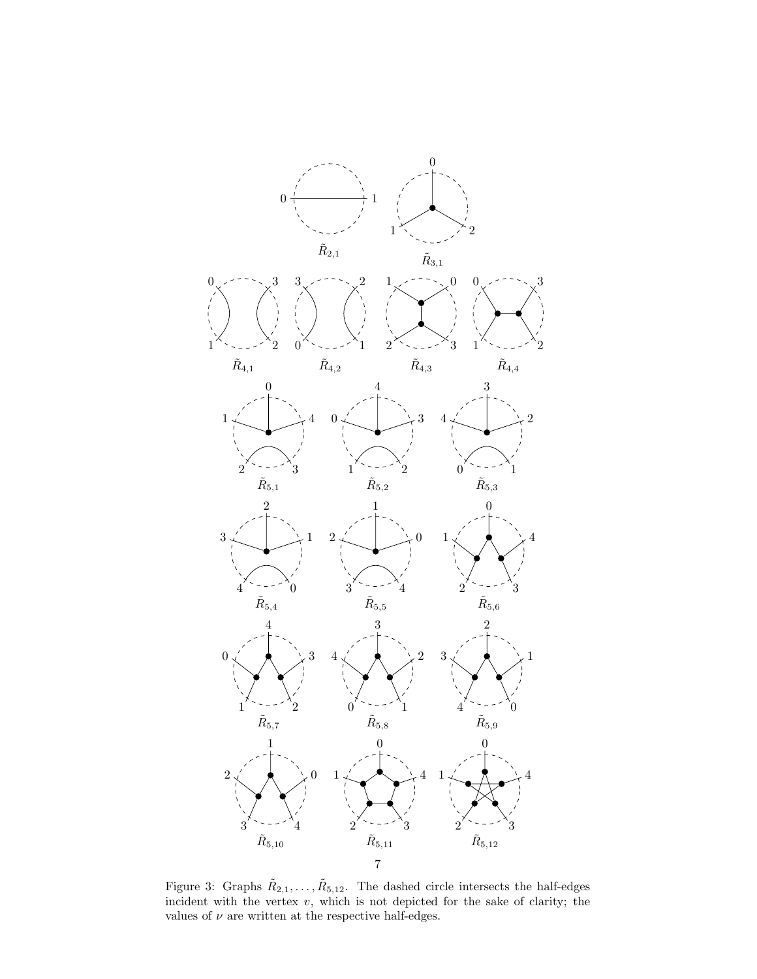

<span id="page-6-0"></span>Figure 3: Graphs  $\tilde{R}_{2,1}, \ldots, \tilde{R}_{5,12}$ . The dashed circle intersects the half-edges incident with the vertex  $v$ , which is not depicted for the sake of clarity; the values of  $\nu$  are written at the respective half-edges.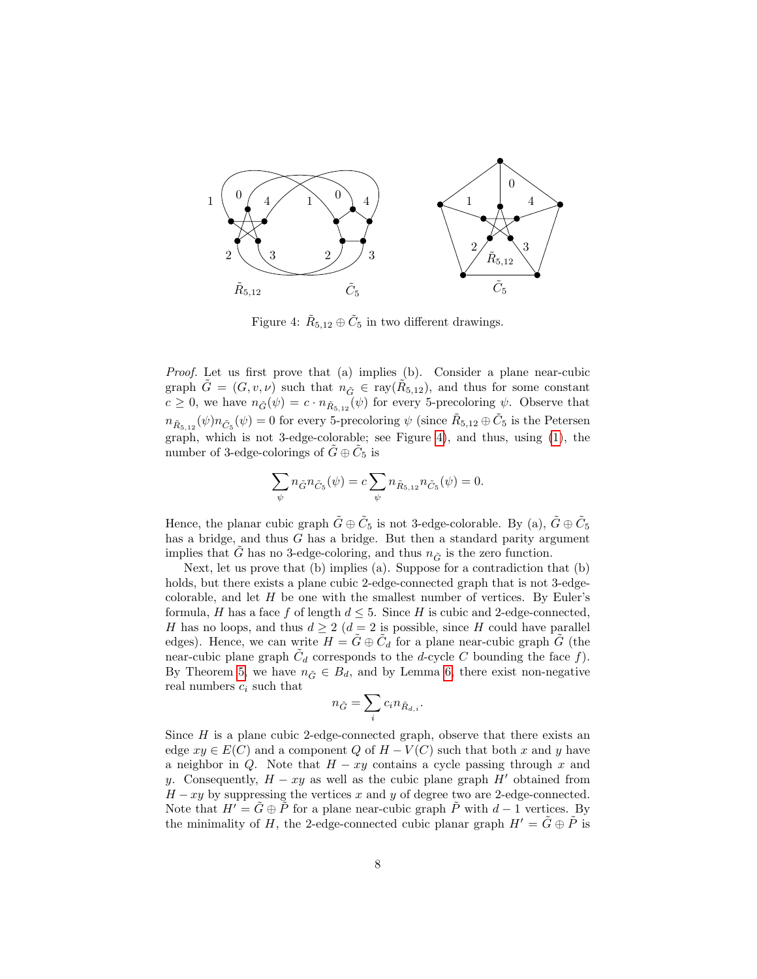

<span id="page-7-0"></span>Figure 4:  $\tilde{R}_{5,12} \oplus \tilde{C}_5$  in two different drawings.

Proof. Let us first prove that (a) implies (b). Consider a plane near-cubic graph  $\tilde{G} = (G, v, \nu)$  such that  $n_{\tilde{G}} \in \text{ray}(\tilde{R}_{5,12})$ , and thus for some constant  $c \geq 0$ , we have  $n_{\tilde{G}}(\psi) = c \cdot n_{\tilde{R}_{5,12}}(\psi)$  for every 5-precoloring  $\psi$ . Observe that  $n_{\tilde{R}_{5,12}}(\psi)n_{\tilde{C}_5}(\psi)=0$  for every 5-precoloring  $\psi$  (since  $\tilde{R}_{5,12}\oplus \tilde{C}_5$  is the Petersen graph, which is not 3-edge-colorable; see Figure [4\)](#page-7-0), and thus, using [\(1\)](#page-3-1), the number of 3-edge-colorings of  $\tilde{G} \oplus \tilde{C}_5$  is

$$
\sum_{\psi} n_{\tilde{G}} n_{\tilde{C}_5}(\psi) = c \sum_{\psi} n_{\tilde{R}_{5,12}} n_{\tilde{C}_5}(\psi) = 0.
$$

Hence, the planar cubic graph  $\tilde{G} \oplus \tilde{C}_5$  is not 3-edge-colorable. By (a),  $\tilde{G} \oplus \tilde{C}_5$ has a bridge, and thus G has a bridge. But then a standard parity argument implies that  $\tilde{G}$  has no 3-edge-coloring, and thus  $n_{\tilde{G}}$  is the zero function.

Next, let us prove that (b) implies (a). Suppose for a contradiction that (b) holds, but there exists a plane cubic 2-edge-connected graph that is not 3-edgecolorable, and let  $H$  be one with the smallest number of vertices. By Euler's formula, H has a face f of length  $d \leq 5$ . Since H is cubic and 2-edge-connected, H has no loops, and thus  $d \geq 2$  ( $d = 2$  is possible, since H could have parallel edges). Hence, we can write  $H = \tilde{G} \oplus \tilde{C}_d$  for a plane near-cubic graph  $\tilde{G}$  (the near-cubic plane graph  $\tilde{C}_d$  corresponds to the d-cycle C bounding the face f). By Theorem [5,](#page-5-0) we have  $n_{\tilde{G}} \in B_d$ , and by Lemma [6,](#page-5-1) there exist non-negative real numbers  $c_i$  such that

$$
n_{\tilde{G}}=\sum_i c_i n_{\tilde{R}_{d,i}}.
$$

Since  $H$  is a plane cubic 2-edge-connected graph, observe that there exists an edge  $xy \in E(C)$  and a component Q of  $H - V(C)$  such that both x and y have a neighbor in Q. Note that  $H - xy$  contains a cycle passing through x and y. Consequently,  $H - xy$  as well as the cubic plane graph H' obtained from  $H - xy$  by suppressing the vertices x and y of degree two are 2-edge-connected. Note that  $H' = \tilde{G} \oplus \tilde{P}$  for a plane near-cubic graph  $\tilde{P}$  with  $d-1$  vertices. By the minimality of H, the 2-edge-connected cubic planar graph  $H' = \tilde{G} \oplus \tilde{P}$  is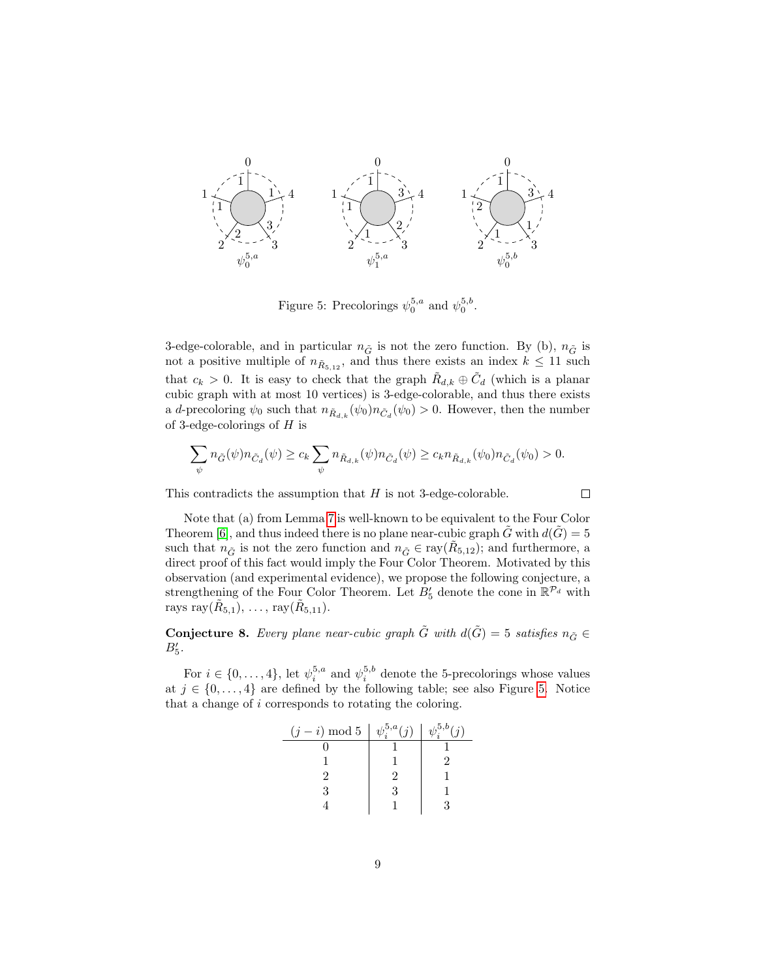

<span id="page-8-0"></span>Figure 5: Precolorings  $\psi_0^{5,a}$  and  $\psi_0^{5,b}$ .

3-edge-colorable, and in particular  $n_{\tilde{G}}$  is not the zero function. By (b),  $n_{\tilde{G}}$  is not a positive multiple of  $n_{\tilde{R}_{5,12}}$ , and thus there exists an index  $k \leq 11$  such that  $c_k > 0$ . It is easy to check that the graph  $\tilde{R}_{d,k} \oplus \tilde{C}_d$  (which is a planar cubic graph with at most 10 vertices) is 3-edge-colorable, and thus there exists a d-precoloring  $\psi_0$  such that  $n_{\tilde{R}_{d,k}}(\psi_0)n_{\tilde{C}_d}(\psi_0) > 0$ . However, then the number of 3-edge-colorings of  $H$  is

$$
\sum_{\psi}n_{\tilde{G}}(\psi)n_{\tilde{C}_d}(\psi)\geq c_k\sum_{\psi}n_{\tilde{R}_{d,k}}(\psi)n_{\tilde{C}_d}(\psi)\geq c_kn_{\tilde{R}_{d,k}}(\psi_0)n_{\tilde{C}_d}(\psi_0)>0.
$$

 $\Box$ 

This contradicts the assumption that  $H$  is not 3-edge-colorable.

Note that (a) from Lemma [7](#page-5-2) is well-known to be equivalent to the Four Color Theorem [\[6\]](#page-17-2), and thus indeed there is no plane near-cubic graph G with  $d(G) = 5$ such that  $n_{\tilde{G}}$  is not the zero function and  $n_{\tilde{G}} \in \text{ray}(\tilde{R}_{5,12})$ ; and furthermore, a direct proof of this fact would imply the Four Color Theorem. Motivated by this observation (and experimental evidence), we propose the following conjecture, a strengthening of the Four Color Theorem. Let  $B'_{5}$  denote the cone in  $\mathbb{R}^{\mathcal{P}_{d}}$  with rays ray $(\tilde{R}_{5,1}), \ldots$ , ray $(\tilde{R}_{5,11}).$ 

<span id="page-8-1"></span>**Conjecture 8.** Every plane near-cubic graph  $\tilde{G}$  with  $d(\tilde{G}) = 5$  satisfies  $n_{\tilde{G}} \in$  $B'_5$ .

For  $i \in \{0, \ldots, 4\}$ , let  $\psi_i^{5,a}$  and  $\psi_i^{5,b}$  denote the 5-precolorings whose values at  $j \in \{0, \ldots, 4\}$  are defined by the following table; see also Figure [5.](#page-8-0) Notice that a change of i corresponds to rotating the coloring.

| $(j-i) \mod 5$ | $\psi^{5,a}(i)$ | $1^{3,5,b}$ |
|----------------|-----------------|-------------|
|                |                 |             |
|                |                 |             |
|                |                 |             |
| 3              |                 |             |
|                |                 |             |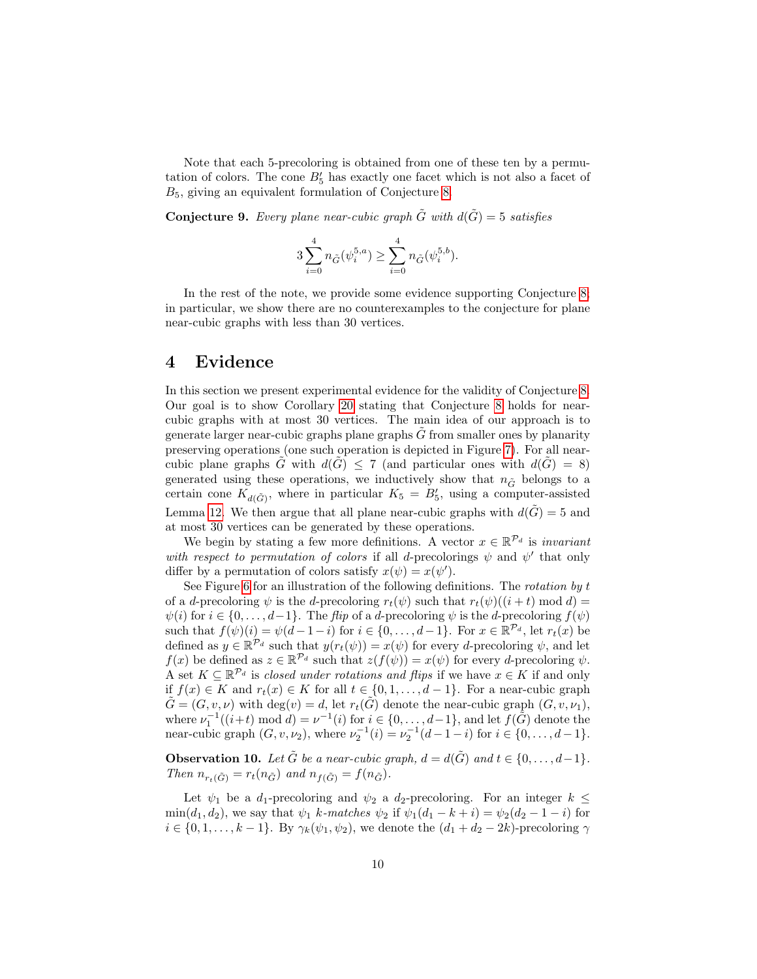Note that each 5-precoloring is obtained from one of these ten by a permutation of colors. The cone  $B'_{5}$  has exactly one facet which is not also a facet of  $B_5$ , giving an equivalent formulation of Conjecture [8.](#page-8-1)

**Conjecture 9.** Every plane near-cubic graph  $\tilde{G}$  with  $d(\tilde{G}) = 5$  satisfies

$$
3\sum_{i=0}^4 n_{\tilde{G}}(\psi_i^{5,a}) \ge \sum_{i=0}^4 n_{\tilde{G}}(\psi_i^{5,b}).
$$

In the rest of the note, we provide some evidence supporting Conjecture [8;](#page-8-1) in particular, we show there are no counterexamples to the conjecture for plane near-cubic graphs with less than 30 vertices.

### 4 Evidence

In this section we present experimental evidence for the validity of Conjecture [8.](#page-8-1) Our goal is to show Corollary [20](#page-15-0) stating that Conjecture [8](#page-8-1) holds for nearcubic graphs with at most 30 vertices. The main idea of our approach is to generate larger near-cubic graphs plane graphs  $\tilde{G}$  from smaller ones by planarity preserving operations (one such operation is depicted in Figure [7\)](#page-10-0). For all nearcubic plane graphs  $\tilde{G}$  with  $d(\tilde{G}) \leq 7$  (and particular ones with  $d(\tilde{G}) = 8$ ) generated using these operations, we inductively show that  $n_{\tilde{G}}$  belongs to a certain cone  $K_{d(\tilde{G})}$ , where in particular  $K_5 = B'_5$ , using a computer-assisted Lemma [12.](#page-11-0) We then argue that all plane near-cubic graphs with  $d(\tilde{G}) = 5$  and at most 30 vertices can be generated by these operations.

We begin by stating a few more definitions. A vector  $x \in \mathbb{R}^{\mathcal{P}_d}$  is *invariant* with respect to permutation of colors if all d-precolorings  $\psi$  and  $\psi'$  that only differ by a permutation of colors satisfy  $x(\psi) = x(\psi')$ .

See Figure [6](#page-10-1) for an illustration of the following definitions. The rotation by t of a d-precoloring  $\psi$  is the d-precoloring  $r_t(\psi)$  such that  $r_t(\psi)((i + t) \mod d) =$  $\psi(i)$  for  $i \in \{0, \ldots, d-1\}$ . The flip of a d-precoloring  $\psi$  is the d-precoloring  $f(\psi)$ such that  $f(\psi)(i) = \psi(d-1-i)$  for  $i \in \{0, \ldots, d-1\}$ . For  $x \in \mathbb{R}^{\mathcal{P}_d}$ , let  $r_t(x)$  be defined as  $y \in \mathbb{R}^{\mathcal{P}_d}$  such that  $y(r_t(\psi)) = x(\psi)$  for every d-precoloring  $\psi$ , and let  $f(x)$  be defined as  $z \in \mathbb{R}^{\mathcal{P}_d}$  such that  $z(f(\psi)) = x(\psi)$  for every d-precoloring  $\psi$ . A set  $K \subseteq \mathbb{R}^{\mathcal{P}_d}$  is closed under rotations and flips if we have  $x \in K$  if and only if  $f(x) \in K$  and  $r_t(x) \in K$  for all  $t \in \{0, 1, \ldots, d-1\}$ . For a near-cubic graph  $\tilde{G} = (G, v, \nu)$  with  $\deg(v) = d$ , let  $r_t(\tilde{G})$  denote the near-cubic graph  $(G, v, \nu_1)$ , where  $\nu_1^{-1}((i+t) \mod d) = \nu^{-1}(i)$  for  $i \in \{0, \ldots, d-1\}$ , and let  $f(\tilde{G})$  denote the near-cubic graph  $(G, v, \nu_2)$ , where  $\nu_2^{-1}(i) = \nu_2^{-1}(d-1-i)$  for  $i \in \{0, ..., d-1\}$ .

**Observation 10.** Let  $\tilde{G}$  be a near-cubic graph,  $d = d(\tilde{G})$  and  $t \in \{0, \ldots, d-1\}$ . Then  $n_{r_t(\tilde{G})} = r_t(n_{\tilde{G}})$  and  $n_{f(\tilde{G})} = f(n_{\tilde{G}})$ .

Let  $\psi_1$  be a d<sub>1</sub>-precoloring and  $\psi_2$  a d<sub>2</sub>-precoloring. For an integer  $k \leq$  $\min(d_1, d_2)$ , we say that  $\psi_1$  k-matches  $\psi_2$  if  $\psi_1(d_1 - k + i) = \psi_2(d_2 - 1 - i)$  for  $i \in \{0, 1, \ldots, k-1\}$ . By  $\gamma_k(\psi_1, \psi_2)$ , we denote the  $(d_1 + d_2 - 2k)$ -precoloring  $\gamma$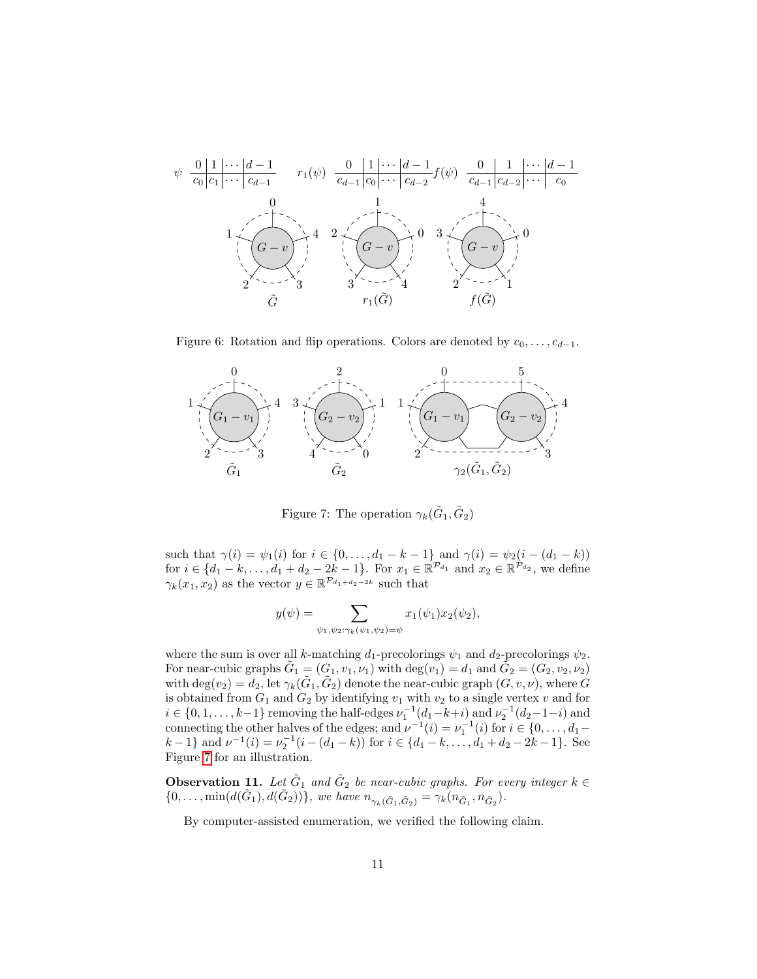

<span id="page-10-1"></span>Figure 6: Rotation and flip operations. Colors are denoted by  $c_0, \ldots, c_{d-1}$ .



<span id="page-10-0"></span>Figure 7: The operation  $\gamma_k(\tilde{G}_1, \tilde{G}_2)$ 

such that  $\gamma(i) = \psi_1(i)$  for  $i \in \{0, ..., d_1 - k - 1\}$  and  $\gamma(i) = \psi_2(i - (d_1 - k))$ for  $i \in \{d_1 - k, \ldots, d_1 + d_2 - 2k - 1\}$ . For  $x_1 \in \mathbb{R}^{\mathcal{P}_{d_1}}$  and  $x_2 \in \mathbb{R}^{\mathcal{P}_{d_2}}$ , we define  $\gamma_k(x_1, x_2)$  as the vector  $y \in \mathbb{R}^{\mathcal{P}_{d_1+d_2-2k}}$  such that

$$
y(\psi) = \sum_{\psi_1, \psi_2: \gamma_k(\psi_1, \psi_2) = \psi} x_1(\psi_1) x_2(\psi_2),
$$

where the sum is over all k-matching  $d_1$ -precolorings  $\psi_1$  and  $d_2$ -precolorings  $\psi_2$ . For near-cubic graphs  $\tilde{G}_1 = (G_1, v_1, \nu_1)$  with  $\deg(v_1) = d_1$  and  $\tilde{G}_2 = (G_2, v_2, \nu_2)$ with  $\deg(v_2) = d_2$ , let  $\gamma_k(\tilde{G}_1, \tilde{G}_2)$  denote the near-cubic graph  $(G, v, \nu)$ , where  $G$ is obtained from  $G_1$  and  $G_2$  by identifying  $v_1$  with  $v_2$  to a single vertex v and for  $i \in \{0, 1, \ldots, k-1\}$  removing the half-edges  $\nu_1^{-1}(d_1-k+i)$  and  $\nu_2^{-1}(d_2-1-i)$  and connecting the other halves of the edges; and  $\nu^{-1}(i) = \nu_1^{-1}(i)$  for  $i \in \{0, \ldots, d_1$  $k-1$ } and  $\nu^{-1}(i) = \nu_2^{-1}(i-(d_1-k))$  for  $i \in \{d_1-k, \ldots, d_1+d_2-2k-1\}$ . See Figure [7](#page-10-0) for an illustration.

**Observation 11.** Let  $\tilde{G}_1$  and  $\tilde{G}_2$  be near-cubic graphs. For every integer  $k \in$  $\{0, \ldots, \min(d(\tilde{G}_1), d(\tilde{G}_2))\},$  we have  $n_{\gamma_k(\tilde{G}_1, \tilde{G}_2)} = \gamma_k(n_{\tilde{G}_1}, n_{\tilde{G}_2}).$ 

By computer-assisted enumeration, we verified the following claim.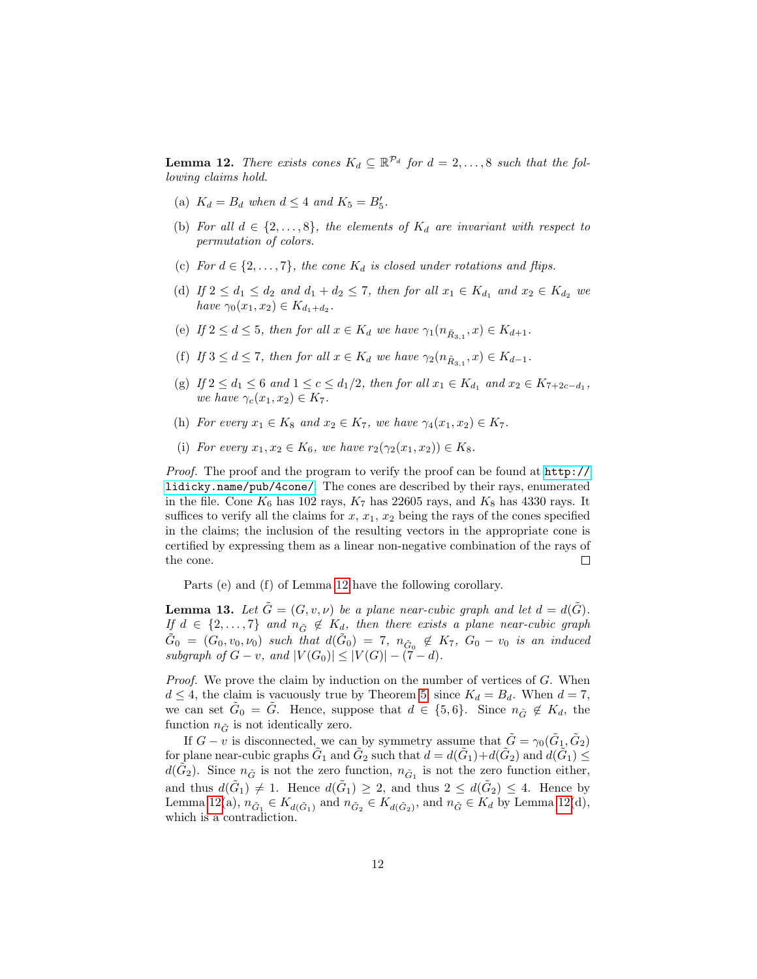<span id="page-11-0"></span>**Lemma 12.** There exists cones  $K_d \subseteq \mathbb{R}^{p_d}$  for  $d = 2, ..., 8$  such that the following claims hold.

- (a)  $K_d = B_d$  when  $d \leq 4$  and  $K_5 = B'_5$ .
- (b) For all  $d \in \{2,\ldots,8\}$ , the elements of  $K_d$  are invariant with respect to permutation of colors.
- (c) For  $d \in \{2, \ldots, 7\}$ , the cone  $K_d$  is closed under rotations and flips.
- (d) If  $2 \le d_1 \le d_2$  and  $d_1 + d_2 \le 7$ , then for all  $x_1 \in K_{d_1}$  and  $x_2 \in K_{d_2}$  we have  $\gamma_0(x_1, x_2) \in K_{d_1 + d_2}$ .
- (e) If  $2 \leq d \leq 5$ , then for all  $x \in K_d$  we have  $\gamma_1(n_{\tilde{R}_{3,1}}, x) \in K_{d+1}$ .
- (f) If  $3 \leq d \leq 7$ , then for all  $x \in K_d$  we have  $\gamma_2(n_{\tilde{R}_{3,1}}, x) \in K_{d-1}$ .
- (g) If  $2 \le d_1 \le 6$  and  $1 \le c \le d_1/2$ , then for all  $x_1 \in K_{d_1}$  and  $x_2 \in K_{7+2c-d_1}$ , we have  $\gamma_c(x_1, x_2) \in K_7$ .
- (h) For every  $x_1 \in K_8$  and  $x_2 \in K_7$ , we have  $\gamma_4(x_1, x_2) \in K_7$ .
- (i) For every  $x_1, x_2 \in K_6$ , we have  $r_2(\gamma_2(x_1, x_2)) \in K_8$ .

Proof. The proof and the program to verify the proof can be found at  $http://$ [lidicky.name/pub/4cone/](http://lidicky.name/pub/4cone/). The cones are described by their rays, enumerated in the file. Cone  $K_6$  has 102 rays,  $K_7$  has 22605 rays, and  $K_8$  has 4330 rays. It suffices to verify all the claims for  $x, x_1, x_2$  being the rays of the cones specified in the claims; the inclusion of the resulting vectors in the appropriate cone is certified by expressing them as a linear non-negative combination of the rays of the cone.  $\Box$ 

Parts (e) and (f) of Lemma [12](#page-11-0) have the following corollary.

<span id="page-11-1"></span>**Lemma 13.** Let  $\tilde{G} = (G, v, \nu)$  be a plane near-cubic graph and let  $d = d(\tilde{G})$ . If  $d \in \{2,\ldots,7\}$  and  $n_{\tilde{G}} \notin K_d$ , then there exists a plane near-cubic graph  $\tilde{G}_0 = (G_0, v_0, \nu_0)$  such that  $d(\tilde{G}_0) = 7$ ,  $n_{\tilde{G}_0} \notin K_7$ ,  $G_0 - v_0$  is an induced subgraph of  $G - v$ , and  $|V(G_0)| \leq |V(G)| - (7 - d)$ .

Proof. We prove the claim by induction on the number of vertices of G. When  $d \leq 4$ , the claim is vacuously true by Theorem [5,](#page-5-0) since  $K_d = B_d$ . When  $d = 7$ , we can set  $\tilde{G}_0 = \tilde{G}$ . Hence, suppose that  $d \in \{5, 6\}$ . Since  $n_{\tilde{G}} \notin K_d$ , the function  $n_{\tilde{G}}$  is not identically zero.

If  $G - v$  is disconnected, we can by symmetry assume that  $\tilde{G} = \gamma_0(\tilde{G}_1, \tilde{G}_2)$ for plane near-cubic graphs  $G_1$  and  $G_2$  such that  $d = d(\tilde{G}_1) + d(\tilde{G}_2)$  and  $d(\tilde{G}_1) \le$  $d(\tilde{G}_2)$ . Since  $n_{\tilde{G}}$  is not the zero function,  $n_{\tilde{G}_1}$  is not the zero function either, and thus  $d(\tilde{G}_1) \neq 1$ . Hence  $d(\tilde{G}_1) \geq 2$ , and thus  $2 \leq d(\tilde{G}_2) \leq 4$ . Hence by Lemma [12\(](#page-11-0)a),  $n_{\tilde{G}_1} \in K_{d(\tilde{G}_1)}$  and  $n_{\tilde{G}_2} \in K_{d(\tilde{G}_2)}$ , and  $n_{\tilde{G}} \in K_d$  by Lemma 12(d), which is a contradiction.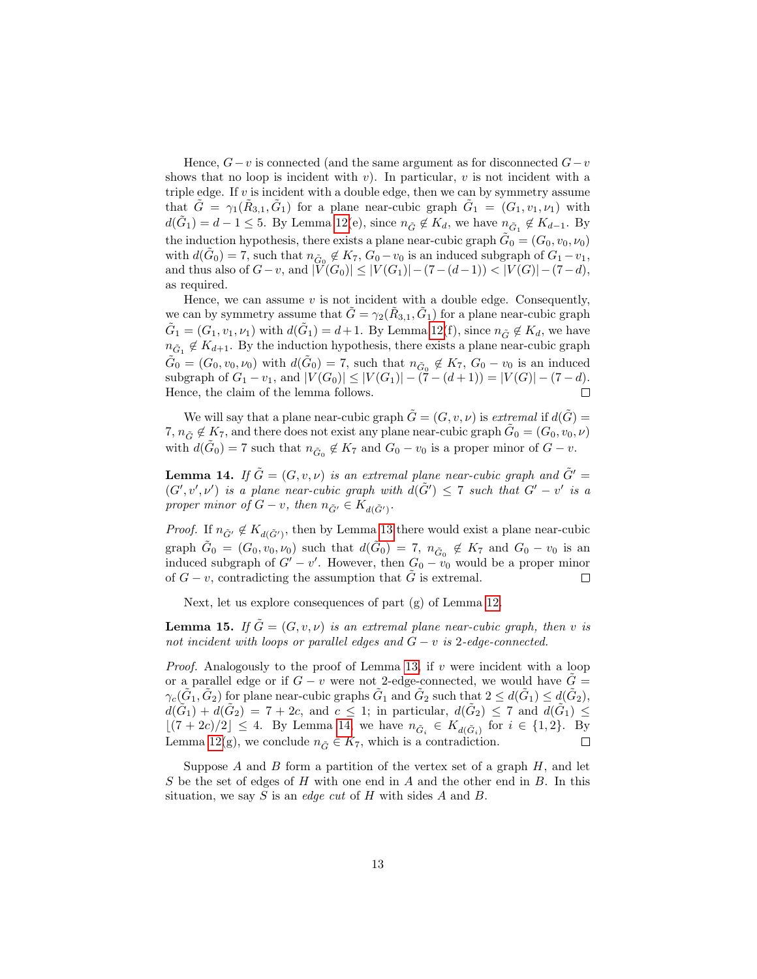Hence,  $G-v$  is connected (and the same argument as for disconnected  $G-v$ shows that no loop is incident with  $v$ ). In particular,  $v$  is not incident with a triple edge. If  $v$  is incident with a double edge, then we can by symmetry assume that  $\tilde{G} = \gamma_1(\tilde{R}_{3,1}, \tilde{G}_1)$  for a plane near-cubic graph  $\tilde{G}_1 = (G_1, v_1, \nu_1)$  with  $d(\tilde{G}_1) = d - 1 \leq 5$ . By Lemma [12\(](#page-11-0)e), since  $n_{\tilde{G}} \notin K_d$ , we have  $n_{\tilde{G}_1} \notin K_{d-1}$ . By the induction hypothesis, there exists a plane near-cubic graph  $\tilde{G}_0 = (G_0, v_0, \nu_0)$ with  $d(\tilde{G}_0) = 7$ , such that  $n_{\tilde{G}_0} \notin K_7$ ,  $G_0 - v_0$  is an induced subgraph of  $G_1 - v_1$ , and thus also of  $G-v$ , and  $|V(G_0)| \leq |V(G_1)|-(7-(d-1)) < |V(G)|-(7-d)$ , as required.

Hence, we can assume  $v$  is not incident with a double edge. Consequently, we can by symmetry assume that  $\tilde{G} = \gamma_2(\tilde{R}_{3,1}, \tilde{G}_1)$  for a plane near-cubic graph  $\tilde{G}_1 = (G_1, v_1, \nu_1)$  with  $d(\tilde{G}_1) = d+1$ . By Lemma [12\(](#page-11-0)f), since  $n_{\tilde{G}} \notin K_d$ , we have  $n_{\tilde{G}_1} \notin K_{d+1}$ . By the induction hypothesis, there exists a plane near-cubic graph  $\tilde{G}_0 = (G_0, v_0, \nu_0)$  with  $d(\tilde{G}_0) = 7$ , such that  $n_{\tilde{G}_0} \notin K_7$ ,  $G_0 - v_0$  is an induced subgraph of  $G_1 - v_1$ , and  $|V(G_0)| \leq |V(G_1)| - (7 - (d+1)) = |V(G)| - (7 - d)$ . Hence, the claim of the lemma follows.  $\Box$ 

We will say that a plane near-cubic graph  $\tilde{G} = (G, v, \nu)$  is extremal if  $d(\tilde{G}) =$ 7,  $n_{\tilde{G}} \notin K_7$ , and there does not exist any plane near-cubic graph  $\tilde{G}_0 = (G_0, v_0, \nu)$ with  $d(\tilde{G}_0) = 7$  such that  $n_{\tilde{G}_0} \notin K_7$  and  $G_0 - v_0$  is a proper minor of  $G - v$ .

<span id="page-12-0"></span>**Lemma 14.** If  $\tilde{G} = (G, v, v)$  is an extremal plane near-cubic graph and  $\tilde{G}' =$  $(G', v', \nu')$  is a plane near-cubic graph with  $d(\tilde{G}') \leq 7$  such that  $G' - v'$  is a proper minor of  $G - v$ , then  $n_{\tilde{G}'} \in K_{d(\tilde{G}')}$ .

*Proof.* If  $n_{\tilde{G}'} \notin K_{d(\tilde{G}')},$  then by Lemma [13](#page-11-1) there would exist a plane near-cubic graph  $\tilde{G}_0 = (G_0, v_0, \nu_0)$  such that  $d(\tilde{G}_0) = 7$ ,  $n_{\tilde{G}_0} \notin K_7$  and  $G_0 - v_0$  is an induced subgraph of  $G' - v'$ . However, then  $G_0 - v_0$  would be a proper minor of  $G - v$ , contradicting the assumption that  $\tilde{G}$  is extremal.  $\Box$ 

Next, let us explore consequences of part (g) of Lemma [12.](#page-11-0)

<span id="page-12-1"></span>**Lemma 15.** If  $G = (G, v, v)$  is an extremal plane near-cubic graph, then v is not incident with loops or parallel edges and  $G - v$  is 2-edge-connected.

*Proof.* Analogously to the proof of Lemma [13,](#page-11-1) if  $v$  were incident with a loop or a parallel edge or if  $G - v$  were not 2-edge-connected, we would have  $G =$  $\gamma_c(\tilde{G}_1, \tilde{G}_2)$  for plane near-cubic graphs  $\tilde{G}_1$  and  $\tilde{G}_2$  such that  $2 \leq d(\tilde{G}_1) \leq d(\tilde{G}_2)$ ,  $d(\tilde{G}_1) + d(\tilde{G}_2) = 7 + 2c$ , and  $c \leq 1$ ; in particular,  $d(\tilde{G}_2) \leq 7$  and  $d(\tilde{G}_1) \leq$  $\lfloor (7 + 2c)/2 \rfloor \leq 4$ . By Lemma [14,](#page-12-0) we have  $n_{\tilde{G}_i} \in K_{d(\tilde{G}_i)}$  for  $i \in \{1,2\}$ . By Lemma [12\(](#page-11-0)g), we conclude  $n_{\tilde{G}} \in K_7$ , which is a contradiction.  $\Box$ 

Suppose  $A$  and  $B$  form a partition of the vertex set of a graph  $H$ , and let S be the set of edges of  $H$  with one end in  $A$  and the other end in  $B$ . In this situation, we say  $S$  is an *edge cut* of  $H$  with sides  $A$  and  $B$ .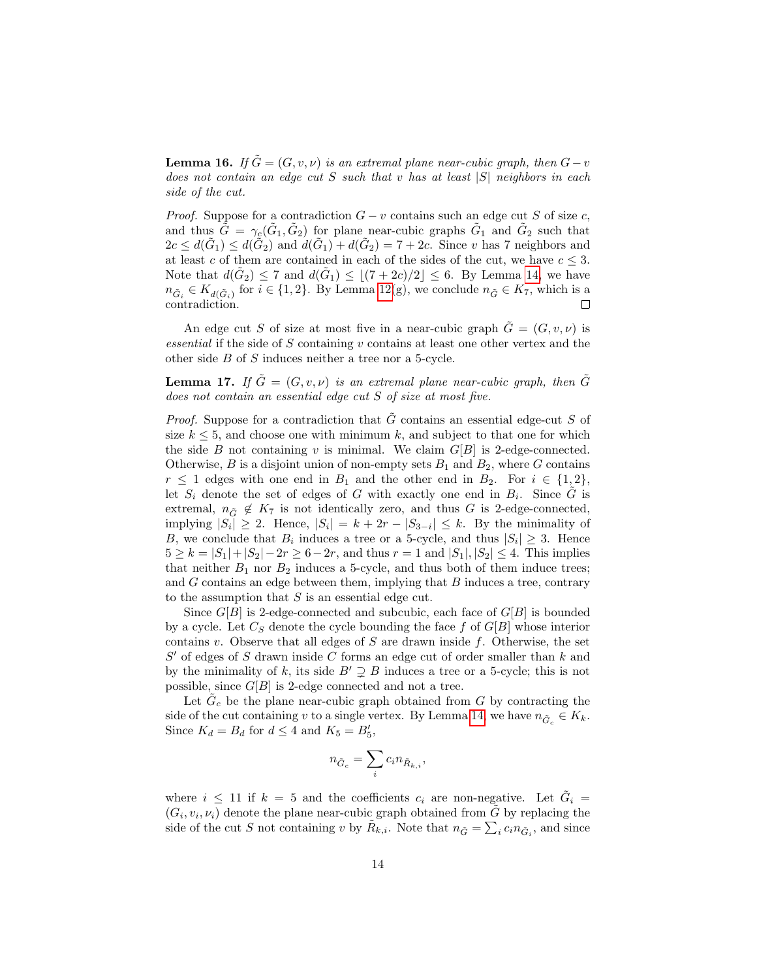<span id="page-13-0"></span>**Lemma 16.** If  $\tilde{G} = (G, v, \nu)$  is an extremal plane near-cubic graph, then  $G - v$ does not contain an edge cut  $S$  such that  $v$  has at least  $|S|$  neighbors in each side of the cut.

*Proof.* Suppose for a contradiction  $G - v$  contains such an edge cut S of size c, and thus  $\tilde{G} = \gamma_c(\tilde{G}_1, \tilde{G}_2)$  for plane near-cubic graphs  $\tilde{G}_1$  and  $\tilde{G}_2$  such that  $2c \leq d(\tilde{G}_1) \leq d(\tilde{G}_2)$  and  $d(\tilde{G}_1) + d(\tilde{G}_2) = 7 + 2c$ . Since v has 7 neighbors and at least c of them are contained in each of the sides of the cut, we have  $c \leq 3$ . Note that  $d(\tilde{G}_2) \leq 7$  and  $d(\tilde{G}_1) \leq \lfloor (7 + 2c)/2 \rfloor \leq 6$ . By Lemma [14,](#page-12-0) we have  $n_{\tilde{G}_i} \in K_{d(\tilde{G}_i)}$  for  $i \in \{1,2\}$ . By Lemma [12\(](#page-11-0)g), we conclude  $n_{\tilde{G}} \in K_7$ , which is a contradiction.  $\Box$ 

An edge cut S of size at most five in a near-cubic graph  $G = (G, v, \nu)$  is essential if the side of  $S$  containing  $v$  contains at least one other vertex and the other side B of S induces neither a tree nor a 5-cycle.

<span id="page-13-1"></span>**Lemma 17.** If  $\tilde{G} = (G, v, v)$  is an extremal plane near-cubic graph, then  $\tilde{G}$ does not contain an essential edge cut S of size at most five.

*Proof.* Suppose for a contradiction that  $\tilde{G}$  contains an essential edge-cut S of size  $k \leq 5$ , and choose one with minimum k, and subject to that one for which the side B not containing v is minimal. We claim  $G[B]$  is 2-edge-connected. Otherwise, B is a disjoint union of non-empty sets  $B_1$  and  $B_2$ , where G contains  $r \leq 1$  edges with one end in  $B_1$  and the other end in  $B_2$ . For  $i \in \{1,2\},$ let  $S_i$  denote the set of edges of G with exactly one end in  $B_i$ . Since  $\tilde{G}$  is extremal,  $n_{\tilde{G}} \notin K_7$  is not identically zero, and thus G is 2-edge-connected, implying  $|S_i| \geq 2$ . Hence,  $|S_i| = k + 2r - |S_{3-i}| \leq k$ . By the minimality of B, we conclude that  $B_i$  induces a tree or a 5-cycle, and thus  $|S_i| \geq 3$ . Hence  $5 \ge k = |S_1| + |S_2| - 2r \ge 6 - 2r$ , and thus  $r = 1$  and  $|S_1|, |S_2| \le 4$ . This implies that neither  $B_1$  nor  $B_2$  induces a 5-cycle, and thus both of them induce trees; and  $G$  contains an edge between them, implying that  $B$  induces a tree, contrary to the assumption that  $S$  is an essential edge cut.

Since  $G[B]$  is 2-edge-connected and subcubic, each face of  $G[B]$  is bounded by a cycle. Let  $C_S$  denote the cycle bounding the face f of  $G[B]$  whose interior contains v. Observe that all edges of  $S$  are drawn inside  $f$ . Otherwise, the set  $S'$  of edges of  $S$  drawn inside  $C$  forms an edge cut of order smaller than  $k$  and by the minimality of k, its side  $B' \supsetneq B$  induces a tree or a 5-cycle; this is not possible, since  $G[B]$  is 2-edge connected and not a tree.

Let  $\tilde{G}_c$  be the plane near-cubic graph obtained from G by contracting the side of the cut containing v to a single vertex. By Lemma [14,](#page-12-0) we have  $n_{\tilde{G}_c} \in K_k$ . Since  $K_d = B_d$  for  $d \leq 4$  and  $K_5 = B'_5$ ,

$$
n_{\tilde{G}_c} = \sum_i c_i n_{\tilde{R}_{k,i}},
$$

where  $i \leq 11$  if  $k = 5$  and the coefficients  $c_i$  are non-negative. Let  $\tilde{G}_i =$  $(G_i, v_i, \nu_i)$  denote the plane near-cubic graph obtained from  $\tilde{G}$  by replacing the side of the cut S not containing v by  $\tilde{R}_{k,i}$ . Note that  $n_{\tilde{G}} = \sum_i c_i n_{\tilde{G}_i}$ , and since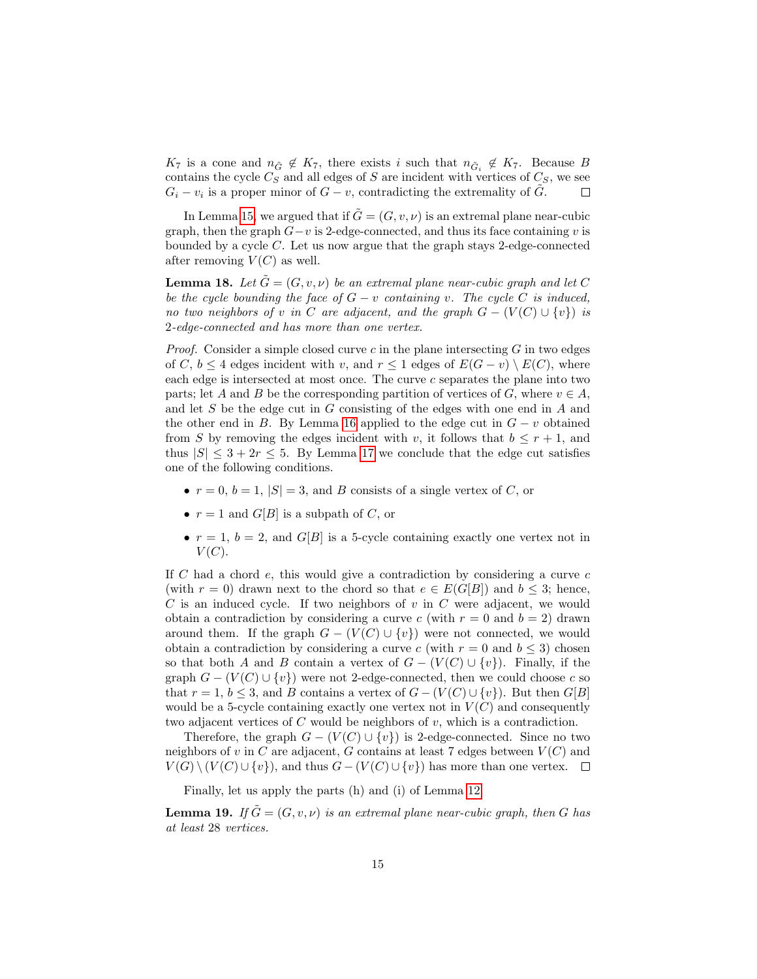$K_7$  is a cone and  $n_{\tilde{G}} \notin K_7$ , there exists i such that  $n_{\tilde{G}_i} \notin K_7$ . Because B contains the cycle  $C_S$  and all edges of S are incident with vertices of  $C_S$ , we see  $G_i - v_i$  is a proper minor of  $G - v$ , contradicting the extremality of  $\tilde{G}$ .  $\Box$ 

In Lemma [15,](#page-12-1) we argued that if  $G = (G, v, \nu)$  is an extremal plane near-cubic graph, then the graph  $G-v$  is 2-edge-connected, and thus its face containing v is bounded by a cycle  $C$ . Let us now argue that the graph stays 2-edge-connected after removing  $V(C)$  as well.

<span id="page-14-0"></span>**Lemma 18.** Let  $\tilde{G} = (G, v, \nu)$  be an extremal plane near-cubic graph and let C be the cycle bounding the face of  $G - v$  containing v. The cycle C is induced, no two neighbors of v in C are adjacent, and the graph  $G - (V(C) \cup \{v\})$  is 2-edge-connected and has more than one vertex.

*Proof.* Consider a simple closed curve c in the plane intersecting  $G$  in two edges of C,  $b \leq 4$  edges incident with v, and  $r \leq 1$  edges of  $E(G - v) \setminus E(C)$ , where each edge is intersected at most once. The curve c separates the plane into two parts; let A and B be the corresponding partition of vertices of G, where  $v \in A$ , and let S be the edge cut in G consisting of the edges with one end in A and the other end in B. By Lemma [16](#page-13-0) applied to the edge cut in  $G - v$  obtained from S by removing the edges incident with v, it follows that  $b \leq r+1$ , and thus  $|S| \leq 3 + 2r \leq 5$ . By Lemma [17](#page-13-1) we conclude that the edge cut satisfies one of the following conditions.

- $r = 0, b = 1, |S| = 3$ , and B consists of a single vertex of C, or
- $r = 1$  and  $G[B]$  is a subpath of C, or
- $r = 1, b = 2$ , and  $G[B]$  is a 5-cycle containing exactly one vertex not in  $V(C).$

If C had a chord  $e$ , this would give a contradiction by considering a curve  $c$ (with  $r = 0$ ) drawn next to the chord so that  $e \in E(G[B])$  and  $b \leq 3$ ; hence,  $C$  is an induced cycle. If two neighbors of  $v$  in  $C$  were adjacent, we would obtain a contradiction by considering a curve c (with  $r = 0$  and  $b = 2$ ) drawn around them. If the graph  $G - (V(C) \cup \{v\})$  were not connected, we would obtain a contradiction by considering a curve c (with  $r = 0$  and  $b \le 3$ ) chosen so that both A and B contain a vertex of  $G - (V(C) \cup \{v\})$ . Finally, if the graph  $G - (V(C) \cup \{v\})$  were not 2-edge-connected, then we could choose c so that  $r = 1, b \leq 3$ , and B contains a vertex of  $G - (V(C) \cup \{v\})$ . But then  $G[B]$ would be a 5-cycle containing exactly one vertex not in  $V(C)$  and consequently two adjacent vertices of C would be neighbors of  $v$ , which is a contradiction.

Therefore, the graph  $G - (V(C) \cup \{v\})$  is 2-edge-connected. Since no two neighbors of v in C are adjacent, G contains at least 7 edges between  $V(C)$  and  $V(G) \setminus (V(C) \cup \{v\})$ , and thus  $G - (V(C) \cup \{v\})$  has more than one vertex.  $\square$ 

Finally, let us apply the parts (h) and (i) of Lemma [12.](#page-11-0)

<span id="page-14-1"></span>**Lemma 19.** If  $\tilde{G} = (G, v, v)$  is an extremal plane near-cubic graph, then G has at least 28 vertices.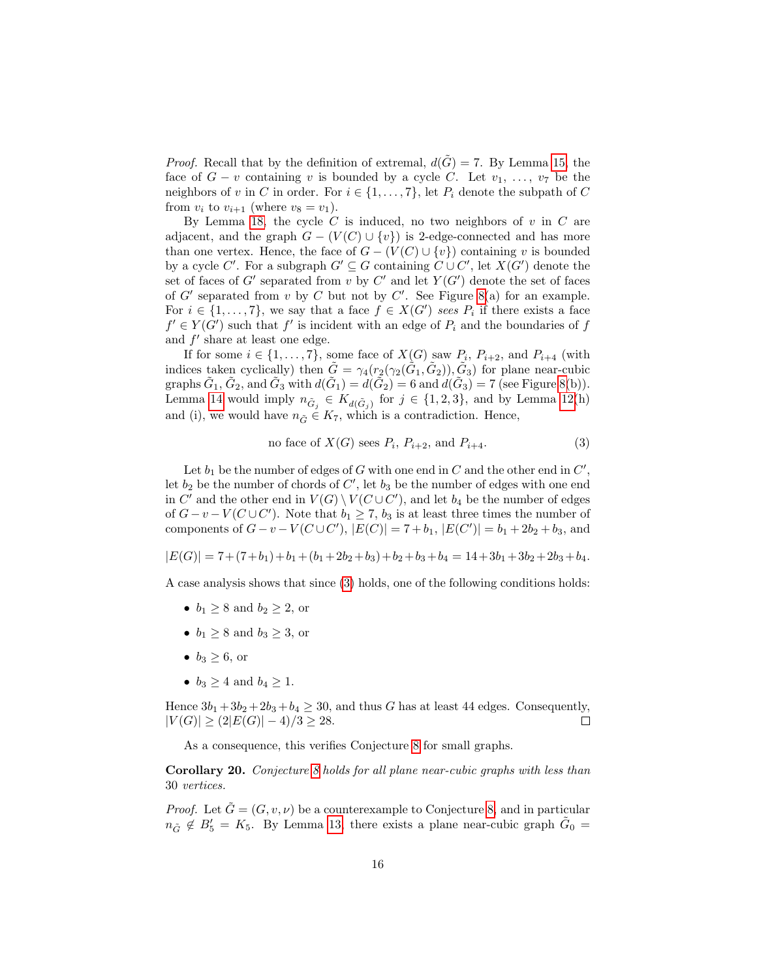*Proof.* Recall that by the definition of extremal,  $d(\tilde{G}) = 7$ . By Lemma [15,](#page-12-1) the face of  $G - v$  containing v is bounded by a cycle C. Let  $v_1, \ldots, v_7$  be the neighbors of v in C in order. For  $i \in \{1, \ldots, 7\}$ , let  $P_i$  denote the subpath of C from  $v_i$  to  $v_{i+1}$  (where  $v_8 = v_1$ ).

By Lemma [18,](#page-14-0) the cycle  $C$  is induced, no two neighbors of  $v$  in  $C$  are adjacent, and the graph  $G - (V(C) \cup \{v\})$  is 2-edge-connected and has more than one vertex. Hence, the face of  $G - (V(C) \cup \{v\})$  containing v is bounded by a cycle C'. For a subgraph  $G' \subseteq G$  containing  $C \cup C'$ , let  $X(G')$  denote the set of faces of G' separated from v by C' and let  $Y(G')$  denote the set of faces of  $G'$  separated from v by C but not by C'. See Figure [8\(](#page-16-3)a) for an example. For  $i \in \{1, \ldots, 7\}$ , we say that a face  $f \in X(G')$  sees  $P_i$  if there exists a face  $f' \in Y(G')$  such that  $f'$  is incident with an edge of  $P_i$  and the boundaries of  $f$ and  $f'$  share at least one edge.

If for some  $i \in \{1, \ldots, 7\}$ , some face of  $X(G)$  saw  $P_i$ ,  $P_{i+2}$ , and  $P_{i+4}$  (with indices taken cyclically) then  $\tilde{G} = \gamma_4(r_2(\gamma_2(\tilde{G}_1, \tilde{G}_2)), \tilde{G}_3)$  for plane near-cubic graphs  $\tilde{G}_1$ ,  $\tilde{G}_2$ , and  $\tilde{G}_3$  with  $d(\tilde{G}_1) = d(\tilde{G}_2) = 6$  and  $d(\tilde{G}_3) = 7$  (see Figure [8\(](#page-16-3)b)). Lemma [14](#page-12-0) would imply  $n_{\tilde{G}_j} \in K_{d(\tilde{G}_j)}$  for  $j \in \{1, 2, 3\}$ , and by Lemma [12\(](#page-11-0)h) and (i), we would have  $n_{\tilde{G}} \in K_7$ , which is a contradiction. Hence,

<span id="page-15-1"></span>no face of 
$$
X(G)
$$
 sees  $P_i$ ,  $P_{i+2}$ , and  $P_{i+4}$ . (3)

Let  $b_1$  be the number of edges of G with one end in C and the other end in  $C'$ , let  $b_2$  be the number of chords of  $C'$ , let  $b_3$  be the number of edges with one end in  $C'$  and the other end in  $V(G) \setminus V(C \cup C')$ , and let  $b_4$  be the number of edges of  $G-v-V(C\cup C')$ . Note that  $b_1\geq 7$ ,  $b_3$  is at least three times the number of components of  $G - v - V(C \cup C')$ ,  $|E(C)| = 7 + b_1$ ,  $|E(C')| = b_1 + 2b_2 + b_3$ , and

$$
|E(G)|=7+(7+b_1)+b_1+(b_1+2b_2+b_3)+b_2+b_3+b_4=14+3b_1+3b_2+2b_3+b_4.
$$

A case analysis shows that since [\(3\)](#page-15-1) holds, one of the following conditions holds:

- $b_1 \geq 8$  and  $b_2 \geq 2$ , or
- $b_1 \geq 8$  and  $b_3 \geq 3$ , or
- $b_3 \geq 6$ , or
- $b_3 \geq 4$  and  $b_4 \geq 1$ .

Hence  $3b_1 + 3b_2 + 2b_3 + b_4 \ge 30$ , and thus G has at least 44 edges. Consequently,  $|V(G)| \geq (2|E(G)|-4)/3 \geq 28.$  $\Box$ 

As a consequence, this verifies Conjecture [8](#page-8-1) for small graphs.

<span id="page-15-0"></span>Corollary 20. Conjecture [8](#page-8-1) holds for all plane near-cubic graphs with less than 30 vertices.

*Proof.* Let  $\tilde{G} = (G, v, v)$  be a counterexample to Conjecture [8,](#page-8-1) and in particular  $n_{\tilde{G}} \notin B'_5 = K_5$ . By Lemma [13,](#page-11-1) there exists a plane near-cubic graph  $\tilde{G}_0 =$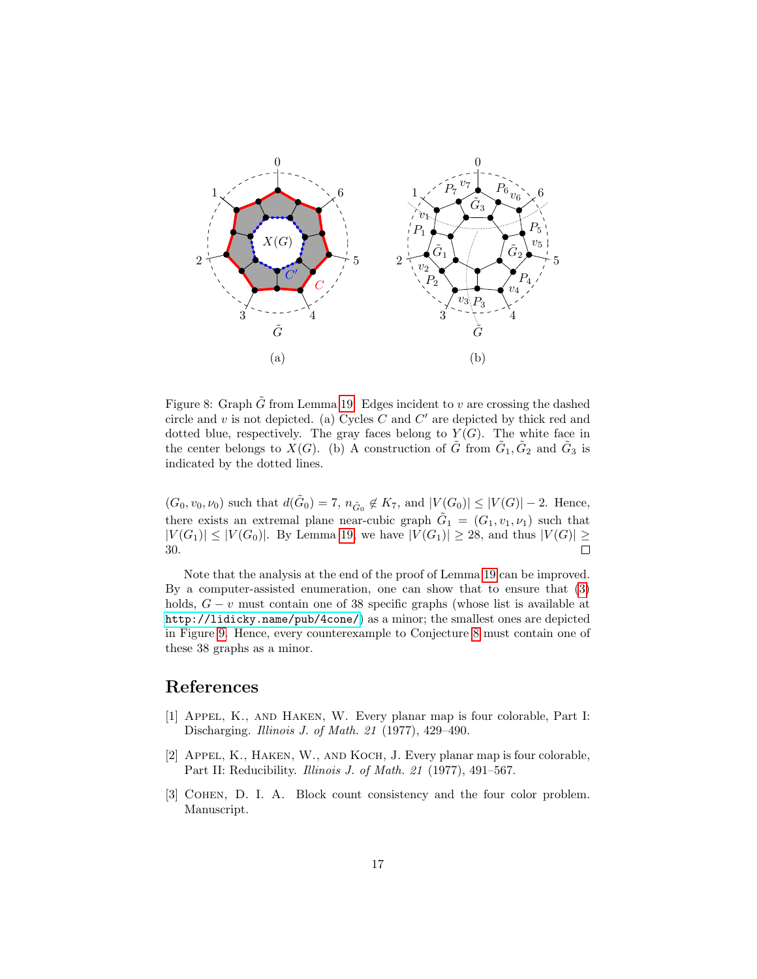

<span id="page-16-3"></span>Figure 8: Graph  $\tilde{G}$  from Lemma [19.](#page-14-1) Edges incident to v are crossing the dashed circle and  $v$  is not depicted. (a) Cycles  $C$  and  $C'$  are depicted by thick red and dotted blue, respectively. The gray faces belong to  $Y(G)$ . The white face in the center belongs to  $\check{X}(G)$ . (b) A construction of  $\tilde{G}$  from  $\tilde{G}_1, \tilde{G}_2$  and  $\tilde{G}_3$  is indicated by the dotted lines.

 $(G_0, v_0, \nu_0)$  such that  $d(\tilde{G}_0) = 7$ ,  $n_{\tilde{G}_0} \notin K_7$ , and  $|V(G_0)| \leq |V(G)| - 2$ . Hence, there exists an extremal plane near-cubic graph  $\tilde{G}_1 = (G_1, v_1, \nu_1)$  such that  $|V(G_1)| \le |V(G_0)|$ . By Lemma [19,](#page-14-1) we have  $|V(G_1)| \ge 28$ , and thus  $|V(G)| \ge 30$ . 30.

Note that the analysis at the end of the proof of Lemma [19](#page-14-1) can be improved. By a computer-assisted enumeration, one can show that to ensure that [\(3\)](#page-15-1) holds,  $G - v$  must contain one of 38 specific graphs (whose list is available at <http://lidicky.name/pub/4cone/>) as a minor; the smallest ones are depicted in Figure [9.](#page-17-4) Hence, every counterexample to Conjecture [8](#page-8-1) must contain one of these 38 graphs as a minor.

## References

- <span id="page-16-0"></span>[1] Appel, K., and Haken, W. Every planar map is four colorable, Part I: Discharging. Illinois J. of Math. 21 (1977), 429–490.
- <span id="page-16-1"></span>[2] APPEL, K., HAKEN, W., AND KOCH, J. Every planar map is four colorable, Part II: Reducibility. Illinois J. of Math. 21 (1977), 491–567.
- <span id="page-16-2"></span>[3] COHEN, D. I. A. Block count consistency and the four color problem. Manuscript.